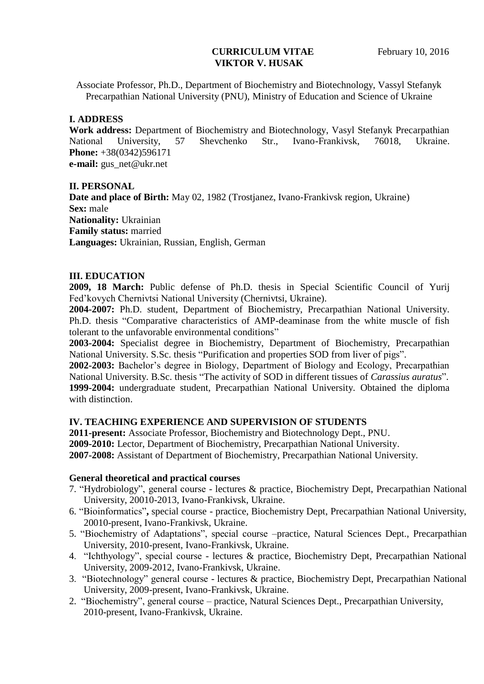### **CURRICULUM VITAE** February 10, 2016 **VIKTOR V. HUSAK**

Associate Professor, Ph.D., Department of Biochemistry and Biotechnology, Vassyl Stefanyk Precarpathian National University (PNU), Ministry of Education and Science of Ukraine

## **I. ADDRESS**

**Work address:** Department of Biochemistry and Biotechnology, Vasyl Stefanyk Precarpathian National University, 57 Shevchenko Str., Ivano-Frankivsk, 76018, Ukraine. **Phone:** +38(0342)596171 **e-mail:** gus\_net@ukr.net

### **II. PERSONAL**

**Date and place of Birth:** May 02, 1982 (Trostjanez, Ivano-Frankivsk region, Ukraine) **Sex:** male **Nationality:** Ukrainian **Family status:** married **Languages:** Ukrainian, Russian, English, German

### **III. EDUCATION**

**2009, 18 March:** Public defense of Ph.D. thesis in Special Scientific Council of Yurij Fed'kovych Chernivtsi National University (Chernivtsi, Ukraine).

**2004-2007:** Ph.D. student, Department of Biochemistry, Precarpathian National University. Ph.D. thesis "Comparative characteristics of AMP-deaminase from the white muscle of fish tolerant to the unfavorable environmental conditions"

**2003-2004:** Specialist degree in Biochemistry, Department of Biochemistry, Precarpathian National University. S.Sc. thesis "Purification and properties SOD from liver of pigs".

**2002-2003:** Bachelor's degree in Biology, Department of Biology and Ecology, Precarpathian National University. B.Sc. thesis "The activity of SOD in different tissues of *Carassius auratus*". **1999-2004:** undergraduate student, Precarpathian National University. Obtained the diploma with distinction.

### **IV. TEACHING EXPERIENCE AND SUPERVISION OF STUDENTS**

**2011-present:** Associate Professor, Biochemistry and Biotechnology Dept., PNU. **2009-2010:** Lector, Department of Biochemistry, Precarpathian National University. **2007-2008:** Assistant of Department of Biochemistry, Precarpathian National University.

### **General theoretical and practical courses**

- 7. "Hydrobiology", general course lectures & practice, Biochemistry Dept, Precarpathian National University, 20010-2013, Ivano-Frankivsk, Ukraine.
- 6. "Bioinformatics"**,** special course practice, Biochemistry Dept, Precarpathian National University, 20010-present, Ivano-Frankivsk, Ukraine.
- 5. "Biochemistry of Adaptations", special course –practice, Natural Sciences Dept., Precarpathian University, 2010-present, Ivano-Frankivsk, Ukraine.
- 4. "Ichthyology", special course lectures & practice, Biochemistry Dept, Precarpathian National University, 2009-2012, Ivano-Frankivsk, Ukraine.
- 3. "Biotechnology" general course lectures & practice, Biochemistry Dept, Precarpathian National University, 2009-present, Ivano-Frankivsk, Ukraine.
- 2."Biochemistry", general course practice, Natural Sciences Dept., Precarpathian University, 2010-present, Ivano-Frankivsk, Ukraine.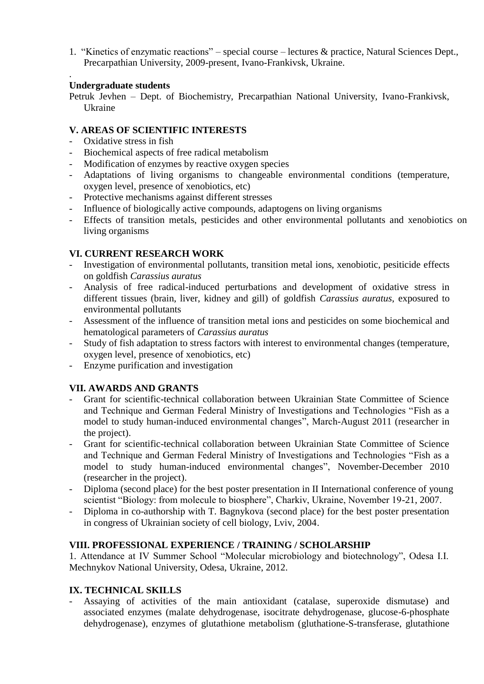1. "Kinetics of enzymatic reactions" – special course – lectures & practice, Natural Sciences Dept., Precarpathian University, 2009-present, Ivano-Frankivsk, Ukraine.

#### . **Undergraduate students**

Petruk Jevhen – Dept. of Biochemistry, Precarpathian National University, Ivano-Frankivsk, Ukraine

## **V. AREAS OF SCIENTIFIC INTERESTS**

- Oxidative stress in fish
- Biochemical aspects of free radical metabolism
- Modification of enzymes by reactive oxygen species
- Adaptations of living organisms to changeable environmental conditions (temperature, oxygen level, presence of xenobiotics, etc)
- Protective mechanisms against different stresses
- Influence of biologically active compounds, adaptogens on living organisms
- Effects of transition metals, pesticides and other environmental pollutants and xenobiotics on living organisms

# **VI. CURRENT RESEARCH WORK**

- Investigation of environmental pollutants, transition metal ions, xenobiotic, pesiticide effects on goldfish *Carassius auratus*
- Analysis of free radical-induced perturbations and development of oxidative stress in different tissues (brain, liver, kidney and gill) of goldfish *Carassius auratus*, exposured to environmental pollutants
- Assessment of the influence of transition metal ions and pesticides on some biochemical and hematological parameters of *Carassius auratus*
- Study of fish adaptation to stress factors with interest to environmental changes (temperature, oxygen level, presence of xenobiotics, etc)
- Enzyme purification and investigation

# **VII. AWARDS AND GRANTS**

- Grant for scientific-technical collaboration between Ukrainian State Committee of Science and Technique and German Federal Ministry of Investigations and Technologies "Fish as a model to study human-induced environmental changes", March-August 2011 (researcher in the project).
- Grant for scientific-technical collaboration between Ukrainian State Committee of Science and Technique and German Federal Ministry of Investigations and Technologies "Fish as a model to study human-induced environmental changes", November-December 2010 (researcher in the project).
- Diploma (second place) for the best poster presentation in II International conference of young scientist "Biology: from molecule to biosphere", Charkiv, Ukraine, November 19-21, 2007.
- Diploma in co-authorship with T. Bagnykova (second place) for the best poster presentation in congress of Ukrainian society of cell biology, Lviv, 2004.

# **VIII. PROFESSIONAL EXPERIENCE / TRAINING / SCHOLARSHIP**

1. Attendance at IV Summer School "Molecular microbiology and biotechnology", Odesa I.I. Mechnykov National University, Odesa, Ukraine, 2012.

# **IX. TECHNICAL SKILLS**

- Assaying of activities of the main antioxidant (catalase, superoxide dismutase) and associated enzymes (malate dehydrogenase, isocitrate dehydrogenase, glucose-6-phosphate dehydrogenase), enzymes of glutathione metabolism (gluthatione-S-transferase, glutathione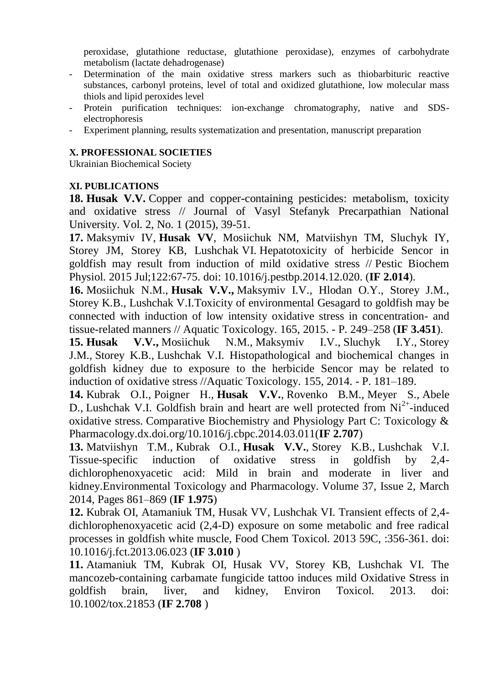peroxidase, glutathione reductase, glutathione peroxidase), enzymes of carbohydrate metabolism (lactate dehadrogenase)

- Determination of the main oxidative stress markers such as thiobarbituric reactive substances, carbonyl proteins, level of total and oxidized glutathione, low molecular mass thiols and lipid peroxides level
- Protein purification techniques: ion-exchange chromatography, native and SDSelectrophoresis
- Experiment planning, results systematization and presentation, manuscript preparation

## **X. PROFESSIONAL SOCIETIES**

Ukrainian Biochemical Society

# **XI. PUBLICATIONS**

**18. Husak V.V.** [Copper and copper-containing pesticides: metabolism, toxicity](http://biochem.if.ua/ru/component/jdownloads/summary/44-2015/716-husak-vv-copper-and-copper-containing-pesticides-metabolism-toxicity-and-oxidative-stress--journal-of-vasyl-stefanyk-precarpathian-national-university-vol-2-no-1-2015-39-51)  [and oxidative stress // Journal of Vasyl Stefanyk Precarpathian National](http://biochem.if.ua/ru/component/jdownloads/summary/44-2015/716-husak-vv-copper-and-copper-containing-pesticides-metabolism-toxicity-and-oxidative-stress--journal-of-vasyl-stefanyk-precarpathian-national-university-vol-2-no-1-2015-39-51)  [University. Vol. 2, No. 1 \(2015\), 39-51.](http://biochem.if.ua/ru/component/jdownloads/summary/44-2015/716-husak-vv-copper-and-copper-containing-pesticides-metabolism-toxicity-and-oxidative-stress--journal-of-vasyl-stefanyk-precarpathian-national-university-vol-2-no-1-2015-39-51)

**17.** [Maksymiv IV,](http://www.sciencedirect.com/science/article/pii/S0048357514002478) **Husak VV**[, Mosiichuk NM, Matviishyn TM, Sluchyk IY,](http://www.sciencedirect.com/science/article/pii/S0048357514002478)  Storey JM, Storey KB, Lushchak VI. [Hepatotoxicity of herbicide Sencor in](http://www.sciencedirect.com/science/article/pii/S0048357514002478)  [goldfish may result from induction of mild oxidative stress //](http://www.sciencedirect.com/science/article/pii/S0048357514002478) Pestic Biochem [Physiol.](http://www.sciencedirect.com/science/article/pii/S0048357514002478) [2015 Jul;122:67-75. doi: 10.1016/j.pestbp.2014.12.020.](http://www.sciencedirect.com/science/article/pii/S0048357514002478) (**IF 2.014**).

**16.** Mosiichuk N.M., **Husak V.V.,** [Maksymiv I.V., Hlodan O.Y., Storey J.M.,](http://www.sciencedirect.com/science/article/pii/S0166445X15001794)  [Storey K.B., Lushchak V.I.Toxicity of environmental Gesagard to goldfish may be](http://www.sciencedirect.com/science/article/pii/S0166445X15001794)  connected with induction of low intensity oxidative stress in concentration- and tissue-related manners // Aquatic Toxicology. 165, 2015. - P. 249–258 (**IF 3.451**).

**15. Husak V.V.,** [Mosiichuk N.M.,](http://biochem.if.ua/ru/component/jdownloads/viewdownload/43-2014/311-histopathological-and-biochemical-changes-in-goldfish-kidney-due-to-exposure-to-the-herbicide-sencor-may-be-related-to-induction-of-oxidative-stress) Maksymiv I.V., Sluchyk I.Y., Storey J.M., Storey K.B., [Lushchak V.I. Histopathological and biochemical changes in](http://biochem.if.ua/ru/component/jdownloads/viewdownload/43-2014/311-histopathological-and-biochemical-changes-in-goldfish-kidney-due-to-exposure-to-the-herbicide-sencor-may-be-related-to-induction-of-oxidative-stress)  [goldfish kidney due to exposure to the herbicide Sencor may be related to](http://biochem.if.ua/ru/component/jdownloads/viewdownload/43-2014/311-histopathological-and-biochemical-changes-in-goldfish-kidney-due-to-exposure-to-the-herbicide-sencor-may-be-related-to-induction-of-oxidative-stress)  [induction of oxidative stress //Aquatic Toxicology.](http://biochem.if.ua/ru/component/jdownloads/viewdownload/43-2014/311-histopathological-and-biochemical-changes-in-goldfish-kidney-due-to-exposure-to-the-herbicide-sencor-may-be-related-to-induction-of-oxidative-stress) 155, 2014. - P. 181–189.

**14.** Kubrak O.I., Poigner H., **Husak V.V.**, [Rovenko B.M.,](http://www.sciencedirect.com/science/article/pii/S1532045614000362) Meyer S., Abele D., [Lushchak V.I. Goldfish brain and heart are well protected from Ni](http://www.sciencedirect.com/science/article/pii/S1532045614000362)<sup>2+</sup>-induced oxidative stress. [Comparative Biochemistry and Physiology Part C: Toxicology &](http://www.sciencedirect.com/science/article/pii/S1532045614000362)  [Pharmacology.dx.doi.org/10.1016/j.cbpc.2014.03.011\(](http://www.sciencedirect.com/science/article/pii/S1532045614000362)**IF 2.707**)

**13.** [Matviishyn T.M.,](http://www.sciencedirect.com/science/article/pii/S138266891400043X) Kubrak O.I., **Husak V.V.**, Storey K.B., Lushchak V.I. [Tissue-specific induction of oxidative stress in goldfish by 2,4](http://www.sciencedirect.com/science/article/pii/S138266891400043X) [dichlorophenoxyacetic acid: Mild in brain and moderate in liver and](http://www.sciencedirect.com/science/article/pii/S138266891400043X)  [kidney.Environmental Toxicology and Pharmacology.](http://www.sciencedirect.com/science/article/pii/S138266891400043X) Volume 37, Issue 2, March [2014, Pages 861–869 \(](http://www.sciencedirect.com/science/article/pii/S138266891400043X)**IF 1.975**)

**12.** [Kubrak OI, Atamaniuk TM, Husak VV, Lushchak VI. Transient effects of 2,4](http://www.sciencedirect.com/science/article/pii/S0278691513004006) [dichlorophenoxyacetic acid \(2,4-D\) exposure on some metabolic and free radical](http://www.sciencedirect.com/science/article/pii/S0278691513004006)  processes in goldfish white muscle, [Food Chem Toxicol. 2013 59C, :356-361. doi:](http://www.sciencedirect.com/science/article/pii/S0278691513004006)  [10.1016/j.fct.2013.06.023](http://www.sciencedirect.com/science/article/pii/S0278691513004006) (**IF 3.010** )

**[11.](http://onlinelibrary.wiley.com/doi/10.1002/tox.21853/abstract)** Atamaniuk TM, Kubrak OI, [Husak VV, Storey KB, Lushchak VI. The](http://onlinelibrary.wiley.com/doi/10.1002/tox.21853/abstract)  [mancozeb-containing carbamate fungicide tattoo induces mild Oxidative Stress in](http://onlinelibrary.wiley.com/doi/10.1002/tox.21853/abstract)  [goldfish brain, liver, and kidney, Environ Toxicol. 2013. doi:](http://onlinelibrary.wiley.com/doi/10.1002/tox.21853/abstract)  [10.1002/tox.21853](http://onlinelibrary.wiley.com/doi/10.1002/tox.21853/abstract) (**IF 2.708** )